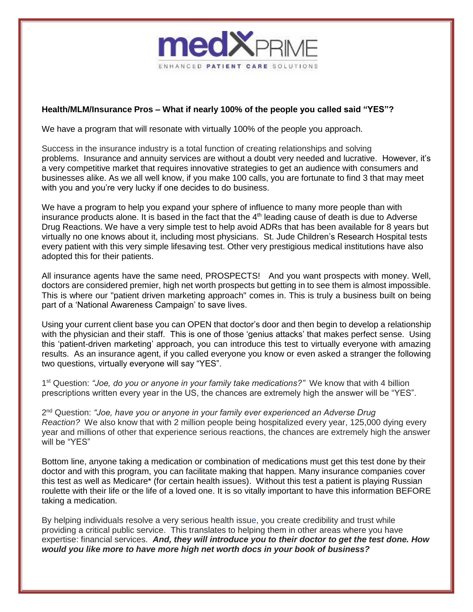

## **Health/MLM/Insurance Pros – What if nearly 100% of the people you called said "YES"?**

We have a program that will resonate with virtually 100% of the people you approach.

Success in the insurance industry is a total function of creating relationships and solving problems. Insurance and annuity services are without a doubt very needed and lucrative. However, it's a very competitive market that requires innovative strategies to get an audience with consumers and businesses alike. As we all well know, if you make 100 calls, you are fortunate to find 3 that may meet with you and you're very lucky if one decides to do business.

We have a program to help you expand your sphere of influence to many more people than with insurance products alone. It is based in the fact that the 4<sup>th</sup> leading cause of death is due to Adverse Drug Reactions. We have a very simple test to help avoid ADRs that has been available for 8 years but virtually no one knows about it, including most physicians. St. Jude Children's Research Hospital tests every patient with this very simple lifesaving test. Other very prestigious medical institutions have also adopted this for their patients.

All insurance agents have the same need, PROSPECTS! And you want prospects with money. Well, doctors are considered premier, high net worth prospects but getting in to see them is almost impossible. This is where our "patient driven marketing approach" comes in. This is truly a business built on being part of a 'National Awareness Campaign' to save lives.

Using your current client base you can OPEN that doctor's door and then begin to develop a relationship with the physician and their staff. This is one of those 'genius attacks' that makes perfect sense. Using this 'patient-driven marketing' approach, you can introduce this test to virtually everyone with amazing results. As an insurance agent, if you called everyone you know or even asked a stranger the following two questions, virtually everyone will say "YES".

1<sup>st</sup> Question: "Joe, do you or anyone in your family take medications?" We know that with 4 billion prescriptions written every year in the US, the chances are extremely high the answer will be "YES".

2 nd Question: *"Joe, have you or anyone in your family ever experienced an Adverse Drug Reaction?* We also know that with 2 million people being hospitalized every year, 125,000 dying every year and millions of other that experience serious reactions, the chances are extremely high the answer will be "YES"

Bottom line, anyone taking a medication or combination of medications must get this test done by their doctor and with this program, you can facilitate making that happen. Many insurance companies cover this test as well as Medicare\* (for certain health issues). Without this test a patient is playing Russian roulette with their life or the life of a loved one. It is so vitally important to have this information BEFORE taking a medication.

By helping individuals resolve a very serious health issue, you create credibility and trust while providing a critical public service. This translates to helping them in other areas where you have expertise: financial services. *And, they will introduce you to their doctor to get the test done. How would you like more to have more high net worth docs in your book of business?*